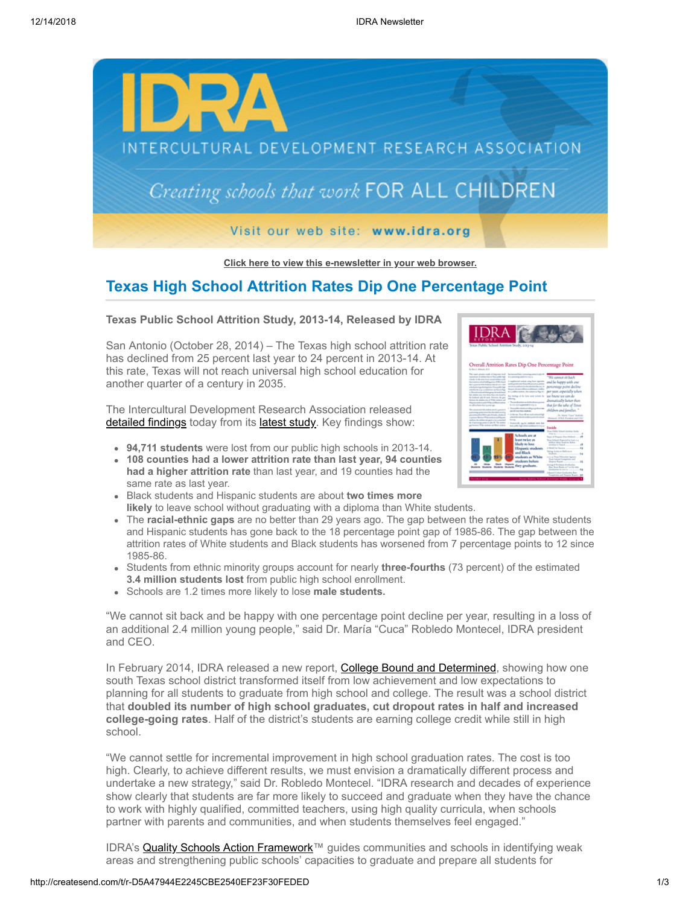

**[Click here to view this e-newsletter in your web browser.](http://newsletter.impulsedevelopment.com/t/r-e-cxhyly-l-r/)**

## **Texas High School Attrition Rates Dip One Percentage Point**

### **Texas Public School Attrition Study, 2013-14, Released by IDRA**

San Antonio (October 28, 2014) – The Texas high school attrition rate has declined from 25 percent last year to 24 percent in 2013-14. At this rate, Texas will not reach universal high school education for another quarter of a century in 2035.

The Intercultural Development Research Association released [detailed findings](http://idra.createsend1.com/t/r-l-cxhyly-l-i/) today from its [latest study](http://idra.createsend1.com/t/r-l-cxhyly-l-d/). Key findings show:

- **94,711 students** were lost from our public high schools in 2013-14.
- **108 counties had a lower attrition rate than last year, 94 counties had a higher attrition rate** than last year, and 19 counties had the same rate as last year.
- Black students and Hispanic students are about **two times more likely** to leave school without graduating with a diploma than White students.
- The **racial-ethnic gaps** are no better than 29 years ago. The gap between the rates of White students and Hispanic students has gone back to the 18 percentage point gap of 1985-86. The gap between the attrition rates of White students and Black students has worsened from 7 percentage points to 12 since 1985-86.
- Students from ethnic minority groups account for nearly **three-fourths** (73 percent) of the estimated **3.4 million students lost** from public high school enrollment.
- Schools are 1.2 times more likely to lose **male students.**

"We cannot sit back and be happy with one percentage point decline per year, resulting in a loss of an additional 2.4 million young people," said Dr. María "Cuca" Robledo Montecel, IDRA president and CEO.

In February 2014, IDRA released a new report, [College Bound and Determined](http://idra.createsend1.com/t/r-l-cxhyly-l-o/), showing how one south Texas school district transformed itself from low achievement and low expectations to planning for all students to graduate from high school and college. The result was a school district that **doubled its number of high school graduates, cut dropout rates in half and increased college-going rates**. Half of the district's students are earning college credit while still in high school.

"We cannot settle for incremental improvement in high school graduation rates. The cost is too high. Clearly, to achieve different results, we must envision a dramatically different process and undertake a new strategy," said Dr. Robledo Montecel. "IDRA research and decades of experience show clearly that students are far more likely to succeed and graduate when they have the chance to work with highly qualified, committed teachers, using high quality curricula, when schools partner with parents and communities, and when students themselves feel engaged."

IDRA's **[Quality Schools Action Framework™](http://idra.createsend1.com/t/r-l-cxhyly-l-b/)** guides communities and schools in identifying weak areas and strengthening public schools' capacities to graduate and prepare all students for



| The road process roads of largests total<br>parameter of attitive fire in Transaction toda<br>which. In this may seem a read strikes study<br>the matthew what's drive years. If the head<br>that to personal the booking change a sold in<br>wheel attempediate photo Transable high<br>wheel is the total or wheel to at the forces Plage.<br>C. Based on Mark Hot when the publical<br>the strilling new may have then new board in<br>the bookhood sale fit analy. Finances: the area<br>Minta<br>between the analysis cann at White students and<br>Number and an auto Witn and Bush and an<br>as all as hotes has a mon-up-<br>The carried managed and they can of a gamma's<br>a personal politic level that the hill of one of a<br>and investigated the formal product of the second condition of<br>Convert Bridge Victorian and by<br>meksis, its settles we gap is not a married<br>the characteristic points in rathe Mr. The ansiems<br>par between White methods and Black stedies<br>л | harlocksay? Both 7 percentage with 6<br>to cli procedurate podda for this way<br>I continued wing you has been<br>auditorial control board according on<br>and students<br>the party the population of the<br>is a conflict endorse that substitute that the<br>for fishup of the latter made tachets the<br>· Thomas disease<br>In once spot Aggressor in one car<br>1 Thoughthis which are taking to problem men<br>and officers their students.<br>· Achiever, True will are real animal half<br>a basic da catanàna and announced contact<br><b>Scott</b><br>1 Notwickelly, Jan Fri Andrews needs but<br>hop public high critical medium to makes<br>Schools are at | "We cannot all back<br>and be happy with ane<br>percentage point decline<br>per year, especially solven<br>tor hacer tor can do<br>dramatically better then<br>that for the tabe of Texas<br>children and families.<br>. Pr. Marie Visco <sup>2</sup> Aubliede<br>Montanal, (USA); Partialent and CIVI-<br>Inside<br>an Mobile School Associates Studies<br>2012-1-2<br><b>Ross of Despost Even Defined</b><br>×6 |
|--------------------------------------------------------------------------------------------------------------------------------------------------------------------------------------------------------------------------------------------------------------------------------------------------------------------------------------------------------------------------------------------------------------------------------------------------------------------------------------------------------------------------------------------------------------------------------------------------------------------------------------------------------------------------------------------------------------------------------------------------------------------------------------------------------------------------------------------------------------------------------------------------------------------------------------------------------------------------------------------------------|-------------------------------------------------------------------------------------------------------------------------------------------------------------------------------------------------------------------------------------------------------------------------------------------------------------------------------------------------------------------------------------------------------------------------------------------------------------------------------------------------------------------------------------------------------------------------------------------------------------------------------------------------------------------------|-------------------------------------------------------------------------------------------------------------------------------------------------------------------------------------------------------------------------------------------------------------------------------------------------------------------------------------------------------------------------------------------------------------------|
| ı<br>л                                                                                                                                                                                                                                                                                                                                                                                                                                                                                                                                                                                                                                                                                                                                                                                                                                                                                                                                                                                                 | least twice as<br>likely to lose<br>Hispanic students<br>and Rinck<br>students as White<br>smalents before                                                                                                                                                                                                                                                                                                                                                                                                                                                                                                                                                              | Trust Islands Expected in Loss 2.4<br>Million More Students Bellow<br>Andrian is Taxand<br>×6<br>A Model for Recover<br>15<br>Taking Arrive to Highlyer as<br>24<br>anca og Town-Education Agricott<br>firms Achest Completion and<br>Departed Boston<br>16                                                                                                                                                       |
| House<br><b>Guidan Guidan</b><br><b><i><u>A</u></i></b>                                                                                                                                                                                                                                                                                                                                                                                                                                                                                                                                                                                                                                                                                                                                                                                                                                                                                                                                                | they graduate.                                                                                                                                                                                                                                                                                                                                                                                                                                                                                                                                                                                                                                                          | Intergral Fordinate Conference<br>Ray Trees Banks and the film<br>Centuries in con-te<br><b>PS</b><br><b>Aured Colum Englanting Rate</b>                                                                                                                                                                                                                                                                          |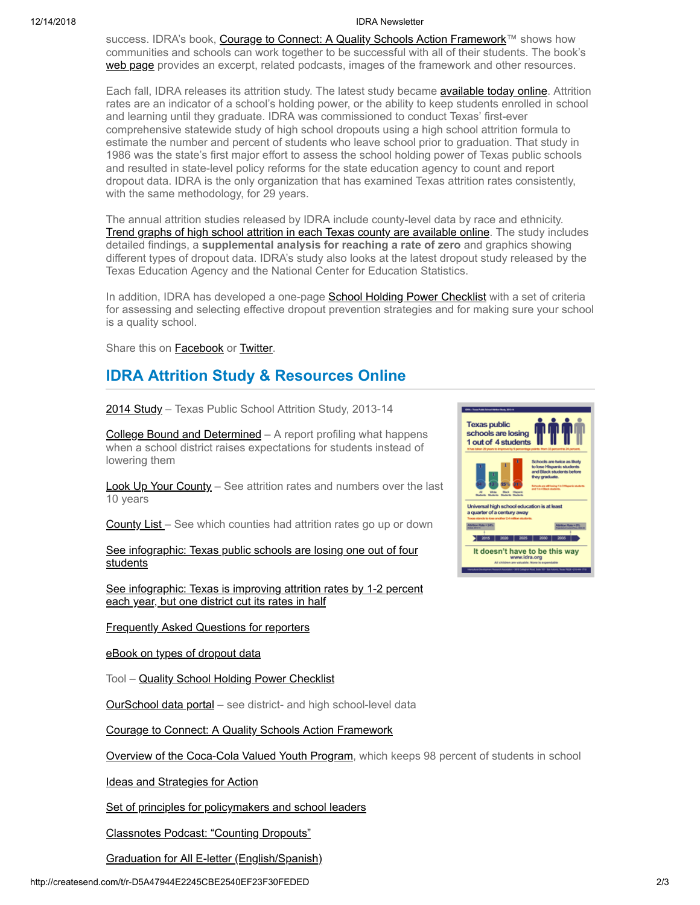#### 12/14/2018 IDRA Newsletter

success. IDRA's book, [Courage to Connect: A Quality Schools Action Framework™](http://idra.createsend1.com/t/r-l-cxhyly-l-n/) shows how communities and schools can work together to be successful with all of their students. The book's [web page](http://idra.createsend1.com/t/r-l-cxhyly-l-p/) provides an excerpt, related podcasts, images of the framework and other resources.

Each fall, IDRA releases its attrition study. The latest study became **available today online**. Attrition rates are an indicator of a school's holding power, or the ability to keep students enrolled in school and learning until they graduate. IDRA was commissioned to conduct Texas' first-ever comprehensive statewide study of high school dropouts using a high school attrition formula to estimate the number and percent of students who leave school prior to graduation. That study in 1986 was the state's first major effort to assess the school holding power of Texas public schools and resulted in state-level policy reforms for the state education agency to count and report dropout data. IDRA is the only organization that has examined Texas attrition rates consistently, with the same methodology, for 29 years.

The annual attrition studies released by IDRA include county-level data by race and ethnicity. [Trend graphs of high school attrition in each Texas county are available online.](http://idra.createsend1.com/t/r-l-cxhyly-l-m/) The study includes detailed findings, a **supplemental analysis for reaching a rate of zero** and graphics showing different types of dropout data. IDRA's study also looks at the latest dropout study released by the Texas Education Agency and the National Center for Education Statistics.

In addition, IDRA has developed a one-page **School Holding Power Checklist** with a set of criteria for assessing and selecting effective dropout prevention strategies and for making sure your school is a quality school.

Share this on **[Facebook](http://createsend.com/t/r-fb-cxhyly-l-ju/?act=wv)** or **[Twitter](http://idra.createsend1.com/t/r-tw-cxhyly-l-tl/)**.

# **IDRA Attrition Study & Resources Online**

[2014 Study](http://idra.createsend1.com/t/r-l-cxhyly-l-q/) – Texas Public School Attrition Study, 2013-14

[College Bound and Determined](http://idra.createsend1.com/t/r-l-cxhyly-l-a/) – A report profiling what happens when a school district raises expectations for students instead of lowering them

[Look Up Your County](http://idra.createsend1.com/t/r-l-cxhyly-l-f/) – See attrition rates and numbers over the last 10 years

[County List](http://idra.createsend1.com/t/r-l-cxhyly-l-z/) – See which counties had attrition rates go up or down

[See infographic: Texas public schools are losing one out of four](http://idra.createsend1.com/t/r-l-cxhyly-l-v/) **students** 

[See infographic: Texas is improving attrition rates by 1-2 percent](http://idra.createsend1.com/t/r-l-cxhyly-l-e/) each year, but one district cut its rates in half

[Frequently Asked Questions for reporters](http://idra.createsend1.com/t/r-l-cxhyly-l-s/)

[eBook on types of dropout data](http://idra.createsend1.com/t/r-l-cxhyly-l-g/)

Tool - [Quality School Holding Power Checklist](http://idra.createsend1.com/t/r-l-cxhyly-l-w/)

[OurSchool data portal](http://idra.createsend1.com/t/r-l-cxhyly-l-yd/) – see district- and high school-level data

[Courage to Connect: A Quality Schools Action Framework](http://idra.createsend1.com/t/r-l-cxhyly-l-yh/)

[Overview of the Coca-Cola Valued Youth Program,](http://idra.createsend1.com/t/r-l-cxhyly-l-yk/) which keeps 98 percent of students in school

[Ideas and Strategies for Action](http://idra.createsend1.com/t/r-l-cxhyly-l-yu/)

[Set of principles for policymakers and school leaders](http://idra.createsend1.com/t/r-l-cxhyly-l-jl/)

[Classnotes Podcast: "Counting Dropouts"](http://idra.createsend1.com/t/r-l-cxhyly-l-jr/)

[Graduation for All E-letter \(English/Spanish\)](http://idra.createsend1.com/t/r-l-cxhyly-l-jy/)